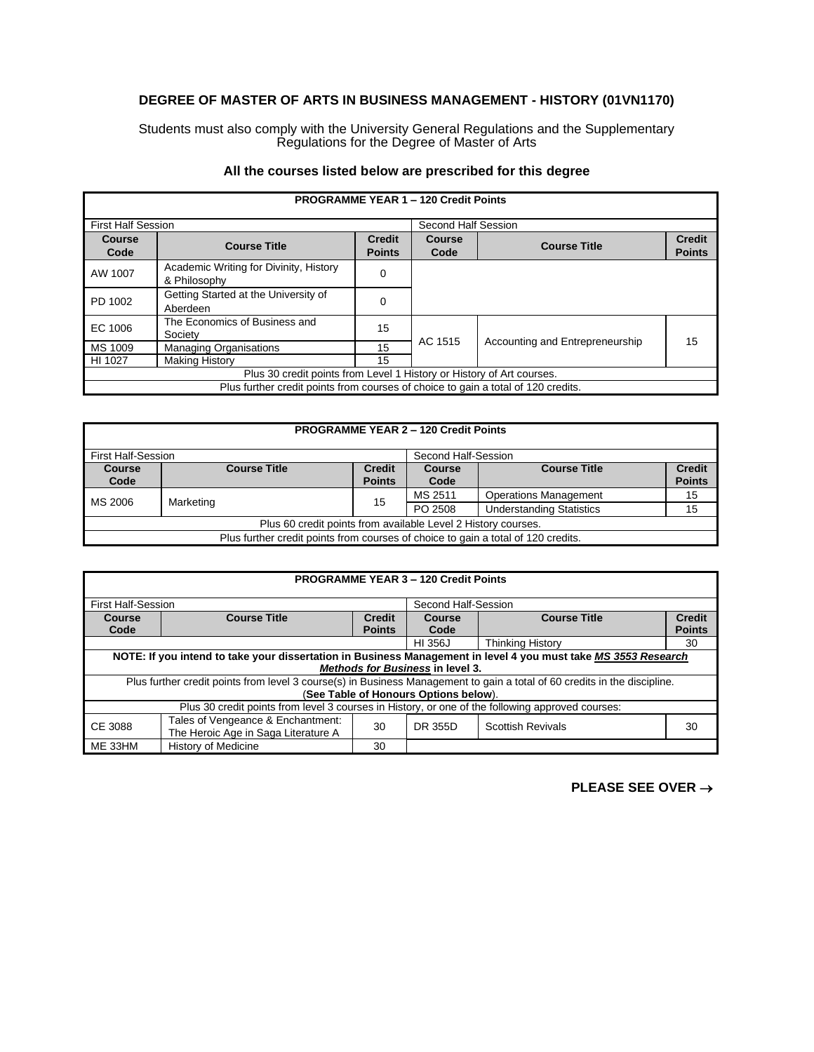## **DEGREE OF MASTER OF ARTS IN BUSINESS MANAGEMENT - HISTORY (01VN1170)**

Students must also comply with the University General Regulations and the Supplementary Regulations for the Degree of Master of Arts

## **All the courses listed below are prescribed for this degree**

| <b>PROGRAMME YEAR 1 - 120 Credit Points</b>                                       |                                                        |               |                     |                                 |               |
|-----------------------------------------------------------------------------------|--------------------------------------------------------|---------------|---------------------|---------------------------------|---------------|
| <b>First Half Session</b>                                                         |                                                        |               | Second Half Session |                                 |               |
| Course                                                                            | <b>Course Title</b>                                    | <b>Credit</b> | Course              | <b>Course Title</b>             | <b>Credit</b> |
| Code                                                                              |                                                        | <b>Points</b> | Code                |                                 | <b>Points</b> |
| AW 1007                                                                           | Academic Writing for Divinity, History<br>& Philosophy | 0             |                     |                                 |               |
| PD 1002                                                                           | Getting Started at the University of<br>Aberdeen       | 0             |                     |                                 |               |
| EC 1006                                                                           | The Economics of Business and<br>Society               | 15            |                     | Accounting and Entrepreneurship | 15            |
| MS 1009                                                                           | <b>Managing Organisations</b>                          | 15            | AC 1515             |                                 |               |
| HI 1027                                                                           | <b>Making History</b>                                  | 15            |                     |                                 |               |
| Plus 30 credit points from Level 1 History or History of Art courses.             |                                                        |               |                     |                                 |               |
| Plus further credit points from courses of choice to gain a total of 120 credits. |                                                        |               |                     |                                 |               |

| <b>PROGRAMME YEAR 2 - 120 Credit Points</b>                                       |                                                                              |               |         |                                 |               |
|-----------------------------------------------------------------------------------|------------------------------------------------------------------------------|---------------|---------|---------------------------------|---------------|
|                                                                                   | <b>First Half-Session</b><br>Second Half-Session                             |               |         |                                 |               |
| <b>Course</b>                                                                     | <b>Course Title</b><br><b>Course Title</b><br><b>Credit</b><br><b>Course</b> |               |         |                                 | <b>Credit</b> |
| Code                                                                              |                                                                              | <b>Points</b> | Code    |                                 | <b>Points</b> |
| MS 2006                                                                           | Marketing                                                                    | 15            | MS 2511 | <b>Operations Management</b>    | 15            |
|                                                                                   |                                                                              |               | PO 2508 | <b>Understanding Statistics</b> | 15            |
| Plus 60 credit points from available Level 2 History courses.                     |                                                                              |               |         |                                 |               |
| Plus further credit points from courses of choice to gain a total of 120 credits. |                                                                              |               |         |                                 |               |

| <b>PROGRAMME YEAR 3 - 120 Credit Points</b>                                                      |                                                                                                                           |               |                     |                          |               |  |
|--------------------------------------------------------------------------------------------------|---------------------------------------------------------------------------------------------------------------------------|---------------|---------------------|--------------------------|---------------|--|
|                                                                                                  |                                                                                                                           |               |                     |                          |               |  |
| <b>First Half-Session</b>                                                                        |                                                                                                                           |               | Second Half-Session |                          |               |  |
| <b>Course Title</b><br><b>Course Title</b><br><b>Credit</b><br>Course<br>Course                  |                                                                                                                           |               | <b>Credit</b>       |                          |               |  |
| Code                                                                                             |                                                                                                                           | <b>Points</b> | Code                |                          | <b>Points</b> |  |
|                                                                                                  |                                                                                                                           |               |                     | <b>Thinking History</b>  | 30            |  |
|                                                                                                  | NOTE: If you intend to take your dissertation in Business Management in level 4 you must take MS 3553 Research            |               |                     |                          |               |  |
|                                                                                                  | <b>Methods for Business in level 3.</b>                                                                                   |               |                     |                          |               |  |
|                                                                                                  | Plus further credit points from level 3 course(s) in Business Management to gain a total of 60 credits in the discipline. |               |                     |                          |               |  |
| (See Table of Honours Options below).                                                            |                                                                                                                           |               |                     |                          |               |  |
| Plus 30 credit points from level 3 courses in History, or one of the following approved courses: |                                                                                                                           |               |                     |                          |               |  |
| CE 3088                                                                                          | Tales of Vengeance & Enchantment:                                                                                         | 30            | DR 355D             | <b>Scottish Revivals</b> | 30            |  |
|                                                                                                  | The Heroic Age in Saga Literature A                                                                                       |               |                     |                          |               |  |
| ME 33HM                                                                                          | <b>History of Medicine</b>                                                                                                | 30            |                     |                          |               |  |

## **PLEASE SEE OVER** →